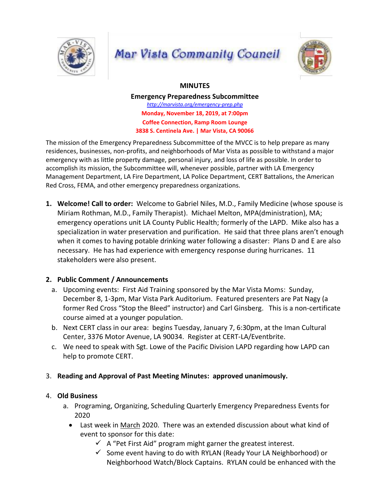

# **Mar Vista Community Council**



## **MINUTES**

**Emergency Preparedness Subcommittee** *http://marvista.org/emergency-prep.php* **Monday, November 18, 2019, at 7:00pm Coffee Connection, Ramp Room Lounge 3838 S. Centinela Ave. | Mar Vista, CA 90066**

The mission of the Emergency Preparedness Subcommittee of the MVCC is to help prepare as many residences, businesses, non-profits, and neighborhoods of Mar Vista as possible to withstand a major emergency with as little property damage, personal injury, and loss of life as possible. In order to accomplish its mission, the Subcommittee will, whenever possible, partner with LA Emergency Management Department, LA Fire Department, LA Police Department, CERT Battalions, the American Red Cross, FEMA, and other emergency preparedness organizations.

**1. Welcome! Call to order:** Welcome to Gabriel Niles, M.D., Family Medicine (whose spouse is Miriam Rothman, M.D., Family Therapist). Michael Melton, MPA(dministration), MA; emergency operations unit LA County Public Health; formerly of the LAPD. Mike also has a specialization in water preservation and purification. He said that three plans aren't enough when it comes to having potable drinking water following a disaster: Plans D and E are also necessary. He has had experience with emergency response during hurricanes. 11 stakeholders were also present.

## **2. Public Comment / Announcements**

- a. Upcoming events: First Aid Training sponsored by the Mar Vista Moms: Sunday, December 8, 1-3pm, Mar Vista Park Auditorium. Featured presenters are Pat Nagy (a former Red Cross "Stop the Bleed" instructor) and Carl Ginsberg. This is a non-certificate course aimed at a younger population.
- b. Next CERT class in our area: begins Tuesday, January 7, 6:30pm, at the Iman Cultural Center, 3376 Motor Avenue, LA 90034. Register at CERT-LA/Eventbrite.
- c. We need to speak with Sgt. Lowe of the Pacific Division LAPD regarding how LAPD can help to promote CERT.

## 3. **Reading and Approval of Past Meeting Minutes: approved unanimously.**

#### 4. **Old Business**

- a. Programing, Organizing, Scheduling Quarterly Emergency Preparedness Events for 2020
	- Last week in March 2020. There was an extended discussion about what kind of event to sponsor for this date:
		- $\checkmark$  A "Pet First Aid" program might garner the greatest interest.
		- $\checkmark$  Some event having to do with RYLAN (Ready Your LA Neighborhood) or Neighborhood Watch/Block Captains. RYLAN could be enhanced with the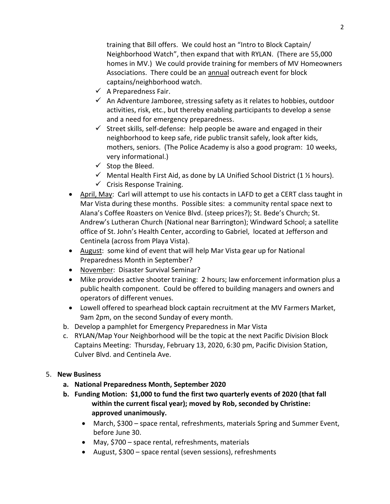training that Bill offers. We could host an "Intro to Block Captain/ Neighborhood Watch", then expand that with RYLAN. (There are 55,000 homes in MV.) We could provide training for members of MV Homeowners Associations. There could be an annual outreach event for block captains/neighborhood watch.

- $\checkmark$  A Preparedness Fair.
- $\checkmark$  An Adventure Jamboree, stressing safety as it relates to hobbies, outdoor activities, risk, etc., but thereby enabling participants to develop a sense and a need for emergency preparedness.
- $\checkmark$  Street skills, self-defense: help people be aware and engaged in their neighborhood to keep safe, ride public transit safely, look after kids, mothers, seniors. (The Police Academy is also a good program: 10 weeks, very informational.)
- $\checkmark$  Stop the Bleed.
- $\checkmark$  Mental Health First Aid, as done by LA Unified School District (1 % hours).
- $\checkmark$  Crisis Response Training.
- April, May: Carl will attempt to use his contacts in LAFD to get a CERT class taught in Mar Vista during these months. Possible sites: a community rental space next to Alana's Coffee Roasters on Venice Blvd. (steep prices?); St. Bede's Church; St. Andrew's Lutheran Church (National near Barrington); Windward School; a satellite office of St. John's Health Center, according to Gabriel, located at Jefferson and Centinela (across from Playa Vista).
- August: some kind of event that will help Mar Vista gear up for National Preparedness Month in September?
- November: Disaster Survival Seminar?
- Mike provides active shooter training: 2 hours; law enforcement information plus a public health component. Could be offered to building managers and owners and operators of different venues.
- Lowell offered to spearhead block captain recruitment at the MV Farmers Market, 9am 2pm, on the second Sunday of every month.
- b. Develop a pamphlet for Emergency Preparedness in Mar Vista
- c. RYLAN/Map Your Neighborhood will be the topic at the next Pacific Division Block Captains Meeting: Thursday, February 13, 2020, 6:30 pm, Pacific Division Station, Culver Blvd. and Centinela Ave.
- 5. **New Business**
	- **a. National Preparedness Month, September 2020**
	- **b. Funding Motion: \$1,000 to fund the first two quarterly events of 2020 (that fall within the current fiscal year); moved by Rob, seconded by Christine: approved unanimously.** 
		- March, \$300 space rental, refreshments, materials Spring and Summer Event, before June 30.
		- May, \$700 space rental, refreshments, materials
		- August, \$300 space rental (seven sessions), refreshments